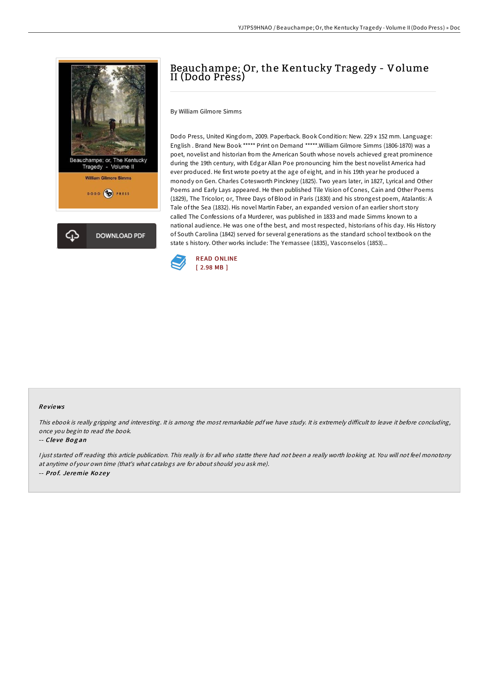

# Beauchampe; Or, the Kentucky Tragedy - Volume II (Dodo Press)

By William Gilmore Simms

Dodo Press, United Kingdom, 2009. Paperback. Book Condition: New. 229 x 152 mm. Language: English . Brand New Book \*\*\*\*\* Print on Demand \*\*\*\*\*.William Gilmore Simms (1806-1870) was a poet, novelist and historian from the American South whose novels achieved great prominence during the 19th century, with Edgar Allan Poe pronouncing him the best novelist America had ever produced. He first wrote poetry at the age of eight, and in his 19th year he produced a monody on Gen. Charles Cotesworth Pinckney (1825). Two years later, in 1827, Lyrical and Other Poems and Early Lays appeared. He then published Tile Vision of Cones, Cain and Other Poems (1829), The Tricolor; or, Three Days of Blood in Paris (1830) and his strongest poem, Atalantis: A Tale of the Sea (1832). His novel Martin Faber, an expanded version of an earlier short story called The Confessions of a Murderer, was published in 1833 and made Simms known to a national audience. He was one of the best, and most respected, historians of his day. His History of South Carolina (1842) served for several generations as the standard school textbook on the state s history. Other works include: The Yemassee (1835), Vasconselos (1853)...



#### Re views

This ebook is really gripping and interesting. It is among the most remarkable pdf we have study. It is extremely difficult to leave it before concluding, once you begin to read the book.

### -- Cleve Bogan

<sup>I</sup> just started oF reading this article publication. This really is for all who statte there had not been <sup>a</sup> really worth looking at. You will not feel monotony at anytime of your own time (that's what catalogs are for about should you ask me). -- Prof. Jeremie Kozey